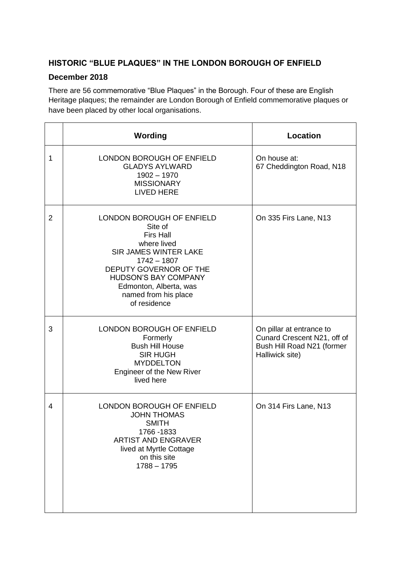## **HISTORIC "BLUE PLAQUES" IN THE LONDON BOROUGH OF ENFIELD**

## **December 2018**

There are 56 commemorative "Blue Plaques" in the Borough. Four of these are English Heritage plaques; the remainder are London Borough of Enfield commemorative plaques or have been placed by other local organisations.

|                | Wording                                                                                                                                                                                                                                      | <b>Location</b>                                                                                          |
|----------------|----------------------------------------------------------------------------------------------------------------------------------------------------------------------------------------------------------------------------------------------|----------------------------------------------------------------------------------------------------------|
| 1              | LONDON BOROUGH OF ENFIELD<br><b>GLADYS AYLWARD</b><br>$1902 - 1970$<br><b>MISSIONARY</b><br><b>LIVED HERE</b>                                                                                                                                | On house at:<br>67 Cheddington Road, N18                                                                 |
| $\overline{2}$ | LONDON BOROUGH OF ENFIELD<br>Site of<br><b>Firs Hall</b><br>where lived<br>SIR JAMES WINTER LAKE<br>$1742 - 1807$<br>DEPUTY GOVERNOR OF THE<br><b>HUDSON'S BAY COMPANY</b><br>Edmonton, Alberta, was<br>named from his place<br>of residence | On 335 Firs Lane, N13                                                                                    |
| 3              | LONDON BOROUGH OF ENFIELD<br>Formerly<br><b>Bush Hill House</b><br><b>SIR HUGH</b><br><b>MYDDELTON</b><br>Engineer of the New River<br>lived here                                                                                            | On pillar at entrance to<br>Cunard Crescent N21, off of<br>Bush Hill Road N21 (former<br>Halliwick site) |
| 4              | LONDON BOROUGH OF ENFIELD<br><b>JOHN THOMAS</b><br><b>SMITH</b><br>1766 - 1833<br><b>ARTIST AND ENGRAVER</b><br>lived at Myrtle Cottage<br>on this site<br>$1788 - 1795$                                                                     | On 314 Firs Lane, N13                                                                                    |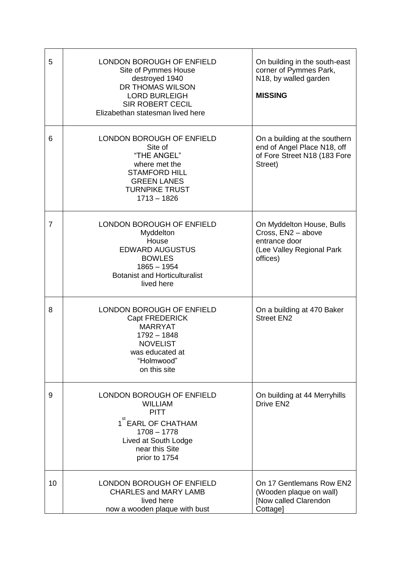| 5              | <b>LONDON BOROUGH OF ENFIELD</b><br>Site of Pymmes House<br>destroyed 1940<br>DR THOMAS WILSON<br><b>LORD BURLEIGH</b><br><b>SIR ROBERT CECIL</b><br>Elizabethan statesman lived here | On building in the south-east<br>corner of Pymmes Park,<br>N18, by walled garden<br><b>MISSING</b>        |
|----------------|---------------------------------------------------------------------------------------------------------------------------------------------------------------------------------------|-----------------------------------------------------------------------------------------------------------|
| 6              | LONDON BOROUGH OF ENFIELD<br>Site of<br>"THE ANGEL"<br>where met the<br><b>STAMFORD HILL</b><br><b>GREEN LANES</b><br><b>TURNPIKE TRUST</b><br>$1713 - 1826$                          | On a building at the southern<br>end of Angel Place N18, off<br>of Fore Street N18 (183 Fore<br>Street)   |
| $\overline{7}$ | LONDON BOROUGH OF ENFIELD<br>Myddelton<br>House<br><b>EDWARD AUGUSTUS</b><br><b>BOWLES</b><br>$1865 - 1954$<br><b>Botanist and Horticulturalist</b><br>lived here                     | On Myddelton House, Bulls<br>Cross, EN2 - above<br>entrance door<br>(Lee Valley Regional Park<br>offices) |
| 8              | LONDON BOROUGH OF ENFIELD<br>Capt FREDERICK<br><b>MARRYAT</b><br>$1792 - 1848$<br><b>NOVELIST</b><br>was educated at<br>"Holmwood"<br>on this site                                    | On a building at 470 Baker<br><b>Street EN2</b>                                                           |
| 9              | <b>LONDON BOROUGH OF ENFIELD</b><br><b>WILLIAM</b><br><b>PITT</b><br>1 <sup>st</sup> EARL OF CHATHAM<br>$1708 - 1778$<br>Lived at South Lodge<br>near this Site<br>prior to 1754      | On building at 44 Merryhills<br>Drive EN <sub>2</sub>                                                     |
| 10             | LONDON BOROUGH OF ENFIELD<br><b>CHARLES and MARY LAMB</b><br>lived here<br>now a wooden plaque with bust                                                                              | On 17 Gentlemans Row EN2<br>(Wooden plaque on wall)<br>[Now called Clarendon<br>Cottagel                  |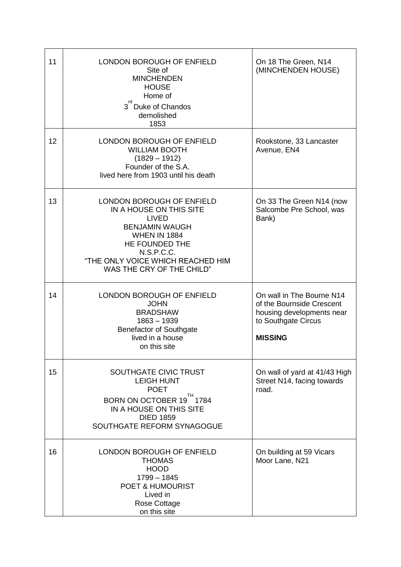| 11 | LONDON BOROUGH OF ENFIELD<br>Site of<br><b>MINCHENDEN</b><br><b>HOUSE</b><br>Home of<br>rd<br>3 <sup>"</sup> Duke of Chandos<br>demolished<br>1853                                                                     | On 18 The Green, N14<br>(MINCHENDEN HOUSE)                                                                                   |
|----|------------------------------------------------------------------------------------------------------------------------------------------------------------------------------------------------------------------------|------------------------------------------------------------------------------------------------------------------------------|
| 12 | LONDON BOROUGH OF ENFIELD<br><b>WILLIAM BOOTH</b><br>$(1829 - 1912)$<br>Founder of the S.A.<br>lived here from 1903 until his death                                                                                    | Rookstone, 33 Lancaster<br>Avenue, EN4                                                                                       |
| 13 | LONDON BOROUGH OF ENFIELD<br>IN A HOUSE ON THIS SITE<br><b>LIVED</b><br><b>BENJAMIN WAUGH</b><br><b>WHEN IN 1884</b><br>HE FOUNDED THE<br>N.S.P.C.C.<br>"THE ONLY VOICE WHICH REACHED HIM<br>WAS THE CRY OF THE CHILD" | On 33 The Green N14 (now<br>Salcombe Pre School, was<br>Bank)                                                                |
| 14 | LONDON BOROUGH OF ENFIELD<br><b>JOHN</b><br><b>BRADSHAW</b><br>$1863 - 1939$<br><b>Benefactor of Southgate</b><br>lived in a house<br>on this site                                                                     | On wall in The Bourne N14<br>of the Bournside Crescent<br>housing developments near<br>to Southgate Circus<br><b>MISSING</b> |
| 15 | SOUTHGATE CIVIC TRUST<br><b>LEIGH HUNT</b><br><b>POET</b><br>TH<br>BORN ON OCTOBER 19 1784<br>IN A HOUSE ON THIS SITE<br><b>DIED 1859</b><br>SOUTHGATE REFORM SYNAGOGUE                                                | On wall of yard at 41/43 High<br>Street N14, facing towards<br>road.                                                         |
| 16 | LONDON BOROUGH OF ENFIELD<br><b>THOMAS</b><br><b>HOOD</b><br>$1799 - 1845$<br><b>POET &amp; HUMOURIST</b><br>Lived in<br>Rose Cottage<br>on this site                                                                  | On building at 59 Vicars<br>Moor Lane, N21                                                                                   |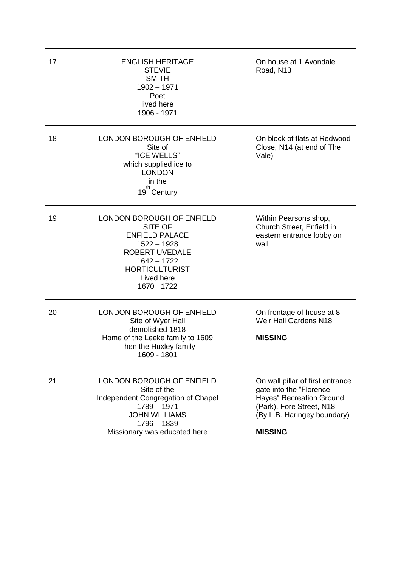| 17 | <b>ENGLISH HERITAGE</b><br><b>STEVIE</b><br><b>SMITH</b><br>$1902 - 1971$<br>Poet<br>lived here<br>1906 - 1971                                                          | On house at 1 Avondale<br>Road, N13                                                                                                                                         |
|----|-------------------------------------------------------------------------------------------------------------------------------------------------------------------------|-----------------------------------------------------------------------------------------------------------------------------------------------------------------------------|
| 18 | LONDON BOROUGH OF ENFIELD<br>Site of<br>"ICE WELLS"<br>which supplied ice to<br><b>LONDON</b><br>in the<br>th<br>19 <sup>"</sup> Century                                | On block of flats at Redwood<br>Close, N14 (at end of The<br>Vale)                                                                                                          |
| 19 | LONDON BOROUGH OF ENFIELD<br>SITE OF<br><b>ENFIELD PALACE</b><br>$1522 - 1928$<br>ROBERT UVEDALE<br>$1642 - 1722$<br><b>HORTICULTURIST</b><br>Lived here<br>1670 - 1722 | Within Pearsons shop,<br>Church Street, Enfield in<br>eastern entrance lobby on<br>wall                                                                                     |
| 20 | LONDON BOROUGH OF ENFIELD<br>Site of Wyer Hall<br>demolished 1818<br>Home of the Leeke family to 1609<br>Then the Huxley family<br>1609 - 1801                          | On frontage of house at 8<br>Weir Hall Gardens N18<br><b>MISSING</b>                                                                                                        |
| 21 | LONDON BOROUGH OF ENFIELD<br>Site of the<br>Independent Congregation of Chapel<br>$1789 - 1971$<br><b>JOHN WILLIAMS</b><br>1796 - 1839<br>Missionary was educated here  | On wall pillar of first entrance<br>gate into the "Florence<br><b>Hayes" Recreation Ground</b><br>(Park), Fore Street, N18<br>(By L.B. Haringey boundary)<br><b>MISSING</b> |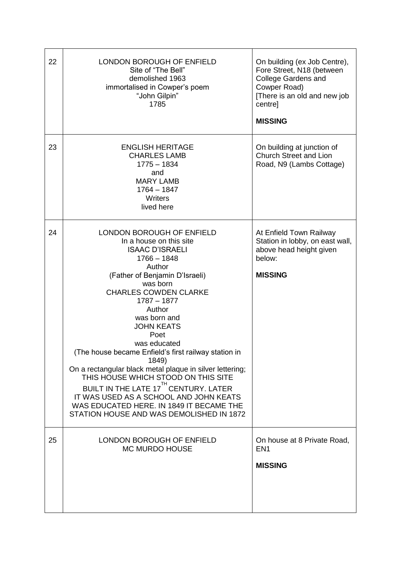| 22 | <b>LONDON BOROUGH OF ENFIELD</b><br>Site of "The Bell"<br>demolished 1963<br>immortalised in Cowper's poem<br>"John Gilpin"<br>1785                                                                                                                                                                                                                                                                                                                                                                                                                                                                                                               | On building (ex Job Centre),<br>Fore Street, N18 (between<br><b>College Gardens and</b><br>Cowper Road)<br>[There is an old and new job<br>centre]<br><b>MISSING</b> |
|----|---------------------------------------------------------------------------------------------------------------------------------------------------------------------------------------------------------------------------------------------------------------------------------------------------------------------------------------------------------------------------------------------------------------------------------------------------------------------------------------------------------------------------------------------------------------------------------------------------------------------------------------------------|----------------------------------------------------------------------------------------------------------------------------------------------------------------------|
| 23 | <b>ENGLISH HERITAGE</b><br><b>CHARLES LAMB</b><br>$1775 - 1834$<br>and<br><b>MARY LAMB</b><br>$1764 - 1847$<br>Writers<br>lived here                                                                                                                                                                                                                                                                                                                                                                                                                                                                                                              | On building at junction of<br>Church Street and Lion<br>Road, N9 (Lambs Cottage)                                                                                     |
| 24 | <b>LONDON BOROUGH OF ENFIELD</b><br>In a house on this site<br><b>ISAAC D'ISRAELI</b><br>$1766 - 1848$<br>Author<br>(Father of Benjamin D'Israeli)<br>was born<br><b>CHARLES COWDEN CLARKE</b><br>$1787 - 1877$<br>Author<br>was born and<br><b>JOHN KEATS</b><br>Poet<br>was educated<br>(The house became Enfield's first railway station in<br>1849)<br>On a rectangular black metal plaque in silver lettering;<br>THIS HOUSE WHICH STOOD ON THIS SITE<br>BUILT IN THE LATE 17 <sup>TH</sup> CENTURY. LATER<br>IT WAS USED AS A SCHOOL AND JOHN KEATS<br>WAS EDUCATED HERE. IN 1849 IT BECAME THE<br>STATION HOUSE AND WAS DEMOLISHED IN 1872 | At Enfield Town Railway<br>Station in lobby, on east wall,<br>above head height given<br>below:<br><b>MISSING</b>                                                    |
| 25 | LONDON BOROUGH OF ENFIELD<br><b>MC MURDO HOUSE</b>                                                                                                                                                                                                                                                                                                                                                                                                                                                                                                                                                                                                | On house at 8 Private Road,<br>EN <sub>1</sub><br><b>MISSING</b>                                                                                                     |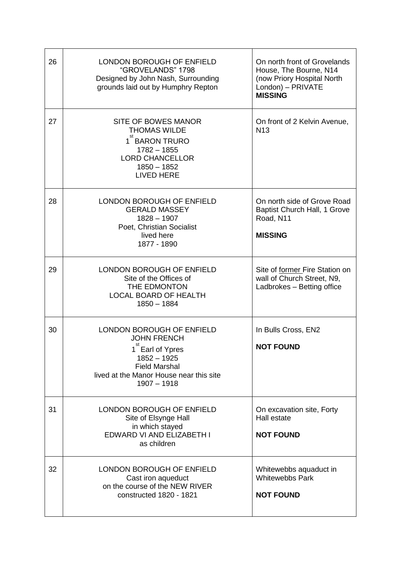| 26 | <b>LONDON BOROUGH OF ENFIELD</b><br>"GROVELANDS" 1798<br>Designed by John Nash, Surrounding<br>grounds laid out by Humphry Repton                                       | On north front of Grovelands<br>House, The Bourne, N14<br>(now Priory Hospital North<br>London) - PRIVATE<br><b>MISSING</b> |
|----|-------------------------------------------------------------------------------------------------------------------------------------------------------------------------|-----------------------------------------------------------------------------------------------------------------------------|
| 27 | SITE OF BOWES MANOR<br><b>THOMAS WILDE</b><br>1 BARON TRURO<br>$1782 - 1855$<br><b>LORD CHANCELLOR</b><br>$1850 - 1852$<br><b>LIVED HERE</b>                            | On front of 2 Kelvin Avenue,<br><b>N13</b>                                                                                  |
| 28 | LONDON BOROUGH OF ENFIELD<br><b>GERALD MASSEY</b><br>$1828 - 1907$<br>Poet, Christian Socialist<br>lived here<br>1877 - 1890                                            | On north side of Grove Road<br>Baptist Church Hall, 1 Grove<br>Road, N11<br><b>MISSING</b>                                  |
| 29 | LONDON BOROUGH OF ENFIELD<br>Site of the Offices of<br>THE EDMONTON<br><b>LOCAL BOARD OF HEALTH</b><br>$1850 - 1884$                                                    | Site of former Fire Station on<br>wall of Church Street, N9,<br>Ladbrokes - Betting office                                  |
| 30 | LONDON BOROUGH OF ENFIELD<br><b>JOHN FRENCH</b><br>1 Earl of Ypres<br>$1852 - 1925$<br><b>Field Marshal</b><br>lived at the Manor House near this site<br>$1907 - 1918$ | In Bulls Cross, EN2<br><b>NOT FOUND</b>                                                                                     |
| 31 | <b>LONDON BOROUGH OF ENFIELD</b><br>Site of Elsynge Hall<br>in which stayed<br>EDWARD VI AND ELIZABETH I<br>as children                                                 | On excavation site, Forty<br>Hall estate<br><b>NOT FOUND</b>                                                                |
| 32 | <b>LONDON BOROUGH OF ENFIELD</b><br>Cast iron aqueduct<br>on the course of the NEW RIVER<br>constructed 1820 - 1821                                                     | Whitewebbs aquaduct in<br><b>Whitewebbs Park</b><br><b>NOT FOUND</b>                                                        |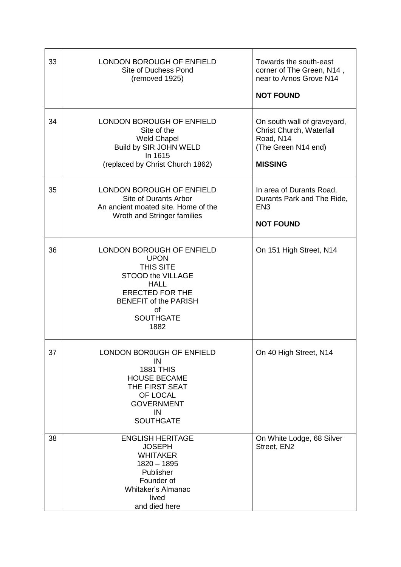| 33 | <b>LONDON BOROUGH OF ENFIELD</b><br>Site of Duchess Pond<br>(removed 1925)                                                                                                                   | Towards the south-east<br>corner of The Green, N14,<br>near to Arnos Grove N14<br><b>NOT FOUND</b>            |
|----|----------------------------------------------------------------------------------------------------------------------------------------------------------------------------------------------|---------------------------------------------------------------------------------------------------------------|
| 34 | LONDON BOROUGH OF ENFIELD<br>Site of the<br><b>Weld Chapel</b><br>Build by SIR JOHN WELD<br>In 1615<br>(replaced by Christ Church 1862)                                                      | On south wall of graveyard,<br>Christ Church, Waterfall<br>Road, N14<br>(The Green N14 end)<br><b>MISSING</b> |
| 35 | LONDON BOROUGH OF ENFIELD<br>Site of Durants Arbor<br>An ancient moated site. Home of the<br>Wroth and Stringer families                                                                     | In area of Durants Road,<br>Durants Park and The Ride,<br>EN <sub>3</sub><br><b>NOT FOUND</b>                 |
| 36 | <b>LONDON BOROUGH OF ENFIELD</b><br><b>UPON</b><br>THIS SITE<br>STOOD the VILLAGE<br><b>HALL</b><br><b>ERECTED FOR THE</b><br><b>BENEFIT of the PARISH</b><br>of<br><b>SOUTHGATE</b><br>1882 | On 151 High Street, N14                                                                                       |
| 37 | LONDON BOR0UGH OF ENFIELD<br>IN<br><b>1881 THIS</b><br><b>HOUSE BECAME</b><br>THE FIRST SEAT<br>OF LOCAL<br><b>GOVERNMENT</b><br>IN<br><b>SOUTHGATE</b>                                      | On 40 High Street, N14                                                                                        |
| 38 | <b>ENGLISH HERITAGE</b><br><b>JOSEPH</b><br><b>WHITAKER</b><br>$1820 - 1895$<br>Publisher<br>Founder of<br><b>Whitaker's Almanac</b><br>lived<br>and died here                               | On White Lodge, 68 Silver<br>Street, EN2                                                                      |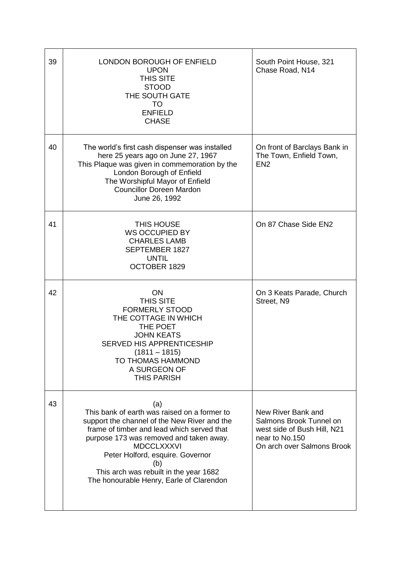| 39 | LONDON BOROUGH OF ENFIELD<br><b>UPON</b><br><b>THIS SITE</b><br><b>STOOD</b><br>THE SOUTH GATE<br>TO<br><b>ENFIELD</b><br><b>CHASE</b>                                                                                                                                                                                                             | South Point House, 321<br>Chase Road, N14                                                                                    |
|----|----------------------------------------------------------------------------------------------------------------------------------------------------------------------------------------------------------------------------------------------------------------------------------------------------------------------------------------------------|------------------------------------------------------------------------------------------------------------------------------|
| 40 | The world's first cash dispenser was installed<br>here 25 years ago on June 27, 1967<br>This Plaque was given in commemoration by the<br>London Borough of Enfield<br>The Worshipful Mayor of Enfield<br><b>Councillor Doreen Mardon</b><br>June 26, 1992                                                                                          | On front of Barclays Bank in<br>The Town, Enfield Town,<br>EN <sub>2</sub>                                                   |
| 41 | THIS HOUSE<br><b>WS OCCUPIED BY</b><br><b>CHARLES LAMB</b><br><b>SEPTEMBER 1827</b><br><b>UNTIL</b><br>OCTOBER 1829                                                                                                                                                                                                                                | On 87 Chase Side EN2                                                                                                         |
| 42 | ON<br><b>THIS SITE</b><br><b>FORMERLY STOOD</b><br>THE COTTAGE IN WHICH<br>THE POET<br><b>JOHN KEATS</b><br><b>SERVED HIS APPRENTICESHIP</b><br>$(1811 - 1815)$<br>TO THOMAS HAMMOND<br>A SURGEON OF<br><b>THIS PARISH</b>                                                                                                                         | On 3 Keats Parade, Church<br>Street, N9                                                                                      |
| 43 | (a)<br>This bank of earth was raised on a former to<br>support the channel of the New River and the<br>frame of timber and lead which served that<br>purpose 173 was removed and taken away.<br><b>MDCCLXXXVI</b><br>Peter Holford, esquire. Governor<br>(b)<br>This arch was rebuilt in the year 1682<br>The honourable Henry, Earle of Clarendon | New River Bank and<br>Salmons Brook Tunnel on<br>west side of Bush Hill, N21<br>near to No.150<br>On arch over Salmons Brook |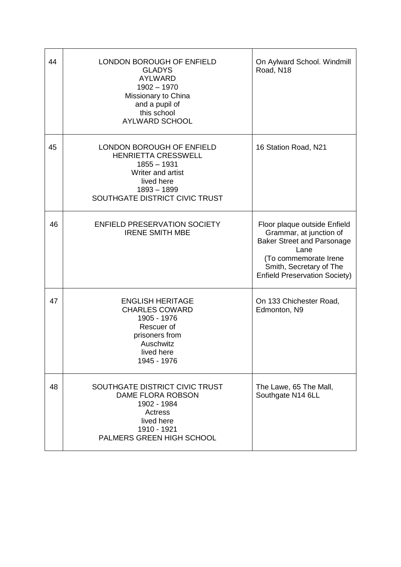| 44 | LONDON BOROUGH OF ENFIELD<br><b>GLADYS</b><br><b>AYLWARD</b><br>$1902 - 1970$<br>Missionary to China<br>and a pupil of<br>this school<br><b>AYLWARD SCHOOL</b> | On Aylward School. Windmill<br>Road, N18                                                                                                                                                         |
|----|----------------------------------------------------------------------------------------------------------------------------------------------------------------|--------------------------------------------------------------------------------------------------------------------------------------------------------------------------------------------------|
| 45 | LONDON BOROUGH OF ENFIELD<br><b>HENRIETTA CRESSWELL</b><br>$1855 - 1931$<br>Writer and artist<br>lived here<br>$1893 - 1899$<br>SOUTHGATE DISTRICT CIVIC TRUST | 16 Station Road, N21                                                                                                                                                                             |
| 46 | <b>ENFIELD PRESERVATION SOCIETY</b><br><b>IRENE SMITH MBE</b>                                                                                                  | Floor plaque outside Enfield<br>Grammar, at junction of<br><b>Baker Street and Parsonage</b><br>Lane<br>(To commemorate Irene<br>Smith, Secretary of The<br><b>Enfield Preservation Society)</b> |
| 47 | <b>ENGLISH HERITAGE</b><br><b>CHARLES COWARD</b><br>1905 - 1976<br>Rescuer of<br>prisoners from<br>Auschwitz<br>lived here<br>1945 - 1976                      | On 133 Chichester Road,<br>Edmonton, N9                                                                                                                                                          |
| 48 | SOUTHGATE DISTRICT CIVIC TRUST<br>DAME FLORA ROBSON<br>1902 - 1984<br>Actress<br>lived here<br>1910 - 1921<br>PALMERS GREEN HIGH SCHOOL                        | The Lawe, 65 The Mall,<br>Southgate N14 6LL                                                                                                                                                      |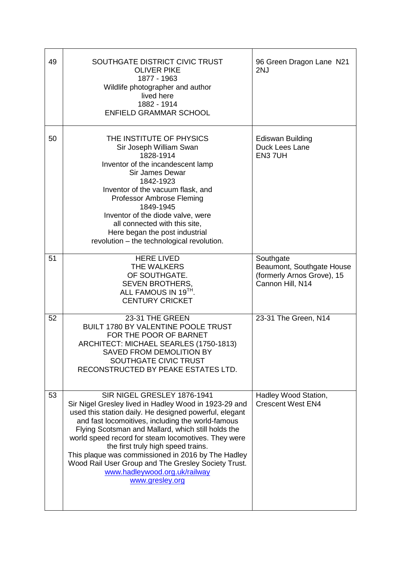| 49 | SOUTHGATE DISTRICT CIVIC TRUST<br><b>OLIVER PIKE</b><br>1877 - 1963<br>Wildlife photographer and author<br>lived here<br>1882 - 1914<br><b>ENFIELD GRAMMAR SCHOOL</b>                                                                                                                                                                                                                                                                                                                                                   | 96 Green Dragon Lane N21<br>2NJ                                                          |
|----|-------------------------------------------------------------------------------------------------------------------------------------------------------------------------------------------------------------------------------------------------------------------------------------------------------------------------------------------------------------------------------------------------------------------------------------------------------------------------------------------------------------------------|------------------------------------------------------------------------------------------|
| 50 | THE INSTITUTE OF PHYSICS<br>Sir Joseph William Swan<br>1828-1914<br>Inventor of the incandescent lamp<br><b>Sir James Dewar</b><br>1842-1923<br>Inventor of the vacuum flask, and<br>Professor Ambrose Fleming<br>1849-1945<br>Inventor of the diode valve, were<br>all connected with this site,<br>Here began the post industrial<br>revolution - the technological revolution.                                                                                                                                       | <b>Ediswan Building</b><br>Duck Lees Lane<br>EN3 7UH                                     |
| 51 | <b>HERE LIVED</b><br>THE WALKERS<br>OF SOUTHGATE.<br>SEVEN BROTHERS,<br>ALL FAMOUS IN 19TH.<br><b>CENTURY CRICKET</b>                                                                                                                                                                                                                                                                                                                                                                                                   | Southgate<br>Beaumont, Southgate House<br>(formerly Arnos Grove), 15<br>Cannon Hill, N14 |
| 52 | 23-31 THE GREEN<br><b>BUILT 1780 BY VALENTINE POOLE TRUST</b><br>FOR THE POOR OF BARNET<br>ARCHITECT: MICHAEL SEARLES (1750-1813)<br>SAVED FROM DEMOLITION BY<br>SOUTHGATE CIVIC TRUST<br>RECONSTRUCTED BY PEAKE ESTATES LTD.                                                                                                                                                                                                                                                                                           | 23-31 The Green, N14                                                                     |
| 53 | SIR NIGEL GRESLEY 1876-1941<br>Sir Nigel Gresley lived in Hadley Wood in 1923-29 and<br>used this station daily. He designed powerful, elegant<br>and fast locomoitives, including the world-famous<br>Flying Scotsman and Mallard, which still holds the<br>world speed record for steam locomotives. They were<br>the first truly high speed trains.<br>This plaque was commissioned in 2016 by The Hadley<br>Wood Rail User Group and The Gresley Society Trust.<br>www.hadleywood.org.uk/railway<br>www.gresley.org | Hadley Wood Station,<br><b>Crescent West EN4</b>                                         |